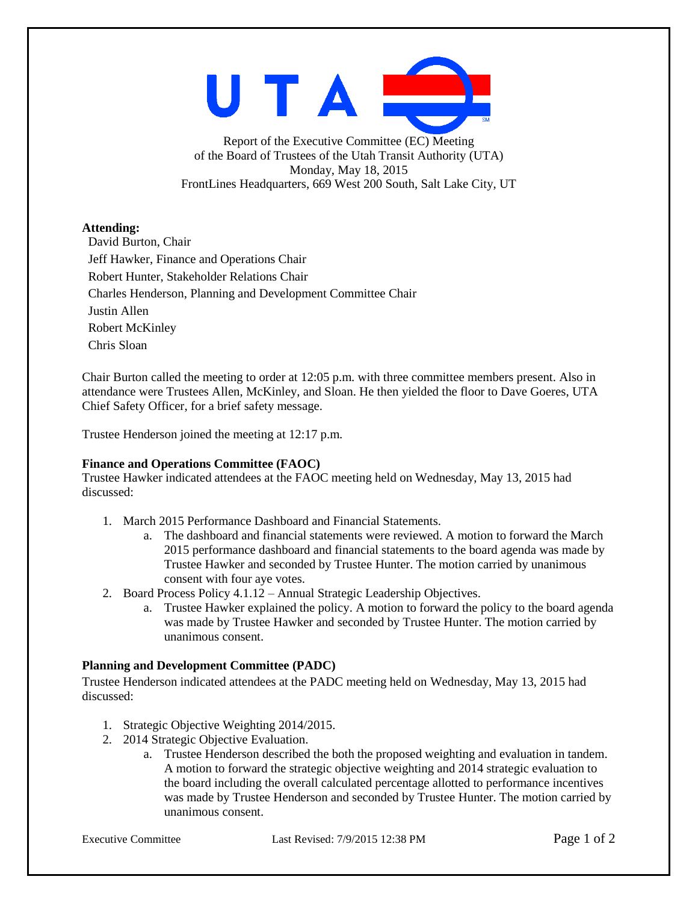UTAI

Report of the Executive Committee (EC) Meeting of the Board of Trustees of the Utah Transit Authority (UTA) Monday, May 18, 2015 FrontLines Headquarters, 669 West 200 South, Salt Lake City, UT

# **Attending:**

David Burton, Chair Jeff Hawker, Finance and Operations Chair Robert Hunter, Stakeholder Relations Chair Charles Henderson, Planning and Development Committee Chair Justin Allen Robert McKinley Chris Sloan

Chair Burton called the meeting to order at 12:05 p.m. with three committee members present. Also in attendance were Trustees Allen, McKinley, and Sloan. He then yielded the floor to Dave Goeres, UTA Chief Safety Officer, for a brief safety message.

Trustee Henderson joined the meeting at 12:17 p.m.

# **Finance and Operations Committee (FAOC)**

Trustee Hawker indicated attendees at the FAOC meeting held on Wednesday, May 13, 2015 had discussed:

- 1. March 2015 Performance Dashboard and Financial Statements.
	- a. The dashboard and financial statements were reviewed. A motion to forward the March 2015 performance dashboard and financial statements to the board agenda was made by Trustee Hawker and seconded by Trustee Hunter. The motion carried by unanimous consent with four aye votes.
- 2. Board Process Policy 4.1.12 Annual Strategic Leadership Objectives.
	- a. Trustee Hawker explained the policy. A motion to forward the policy to the board agenda was made by Trustee Hawker and seconded by Trustee Hunter. The motion carried by unanimous consent.

# **Planning and Development Committee (PADC)**

Trustee Henderson indicated attendees at the PADC meeting held on Wednesday, May 13, 2015 had discussed:

- 1. Strategic Objective Weighting 2014/2015.
- 2. 2014 Strategic Objective Evaluation.
	- a. Trustee Henderson described the both the proposed weighting and evaluation in tandem. A motion to forward the strategic objective weighting and 2014 strategic evaluation to the board including the overall calculated percentage allotted to performance incentives was made by Trustee Henderson and seconded by Trustee Hunter. The motion carried by unanimous consent.